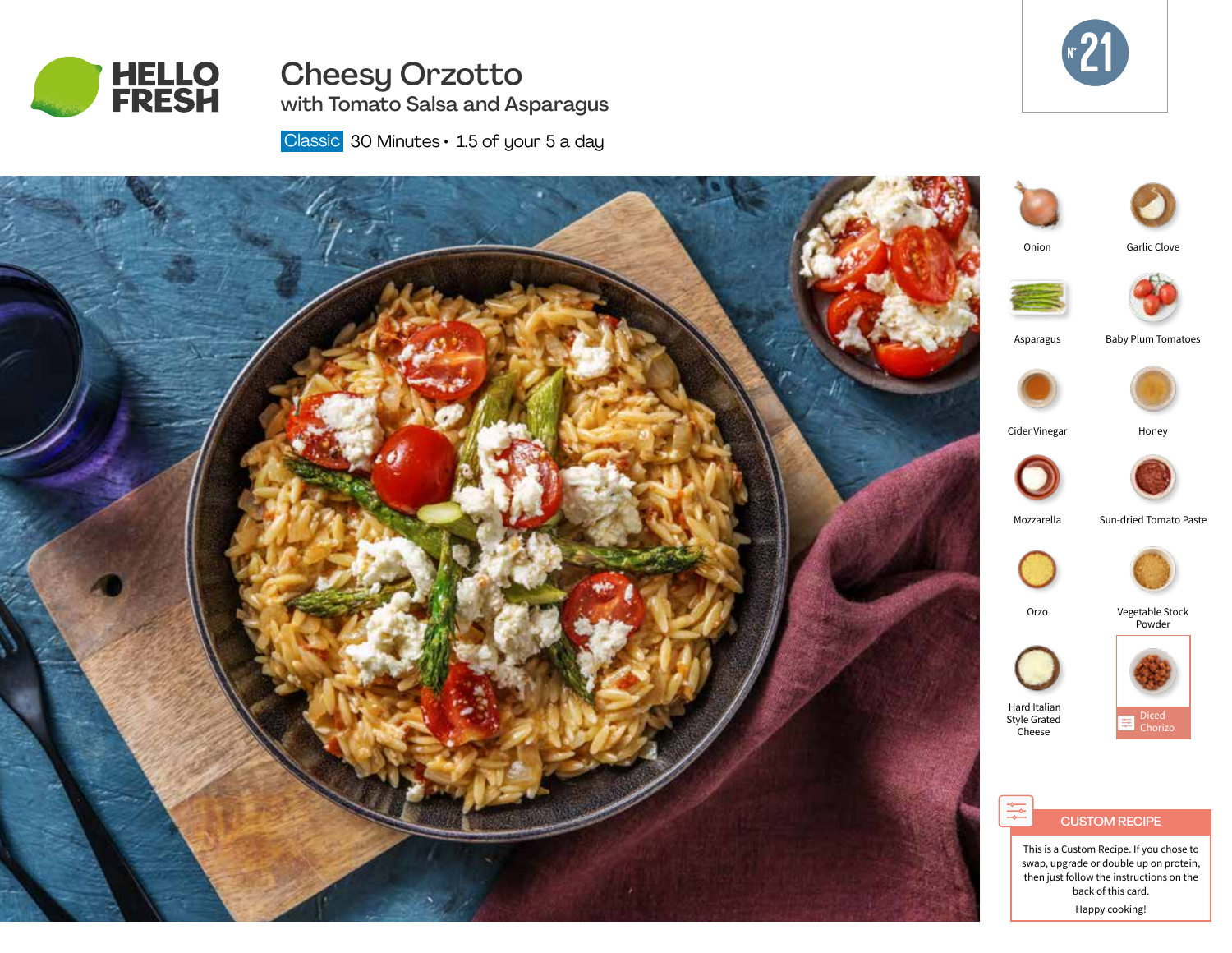

# Cheesy Orzotto with Tomato Salsa and Asparagus



Classic  $30$  Minutes  $\cdot$  1.5 of your 5 a day